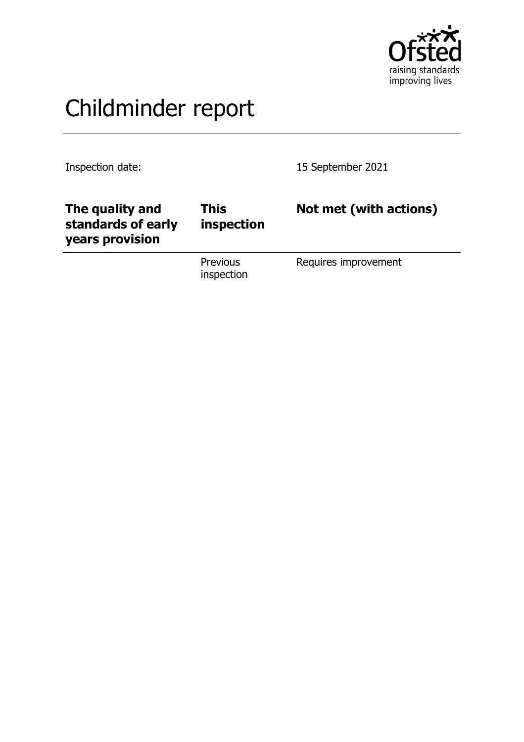

# Childminder report

Inspection date: 15 September 2021

| The quality and<br>standards of early<br>years provision | This<br>inspection            | Not met (with actions) |
|----------------------------------------------------------|-------------------------------|------------------------|
|                                                          | <b>Previous</b><br>inspection | Requires improvement   |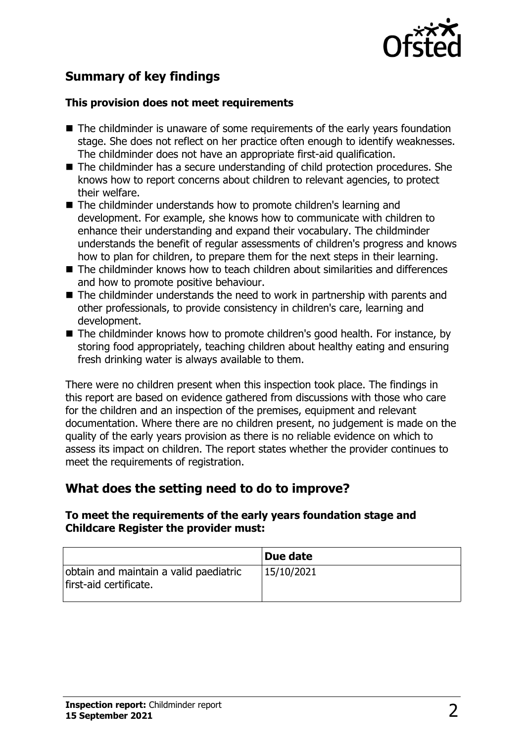

# **Summary of key findings**

#### **This provision does not meet requirements**

- $\blacksquare$  The childminder is unaware of some requirements of the early years foundation stage. She does not reflect on her practice often enough to identify weaknesses. The childminder does not have an appropriate first-aid qualification.
- $\blacksquare$  The childminder has a secure understanding of child protection procedures. She knows how to report concerns about children to relevant agencies, to protect their welfare.
- $\blacksquare$  The childminder understands how to promote children's learning and development. For example, she knows how to communicate with children to enhance their understanding and expand their vocabulary. The childminder understands the benefit of regular assessments of children's progress and knows how to plan for children, to prepare them for the next steps in their learning.
- The childminder knows how to teach children about similarities and differences and how to promote positive behaviour.
- $\blacksquare$  The childminder understands the need to work in partnership with parents and other professionals, to provide consistency in children's care, learning and development.
- $\blacksquare$  The childminder knows how to promote children's good health. For instance, by storing food appropriately, teaching children about healthy eating and ensuring fresh drinking water is always available to them.

There were no children present when this inspection took place. The findings in this report are based on evidence gathered from discussions with those who care for the children and an inspection of the premises, equipment and relevant documentation. Where there are no children present, no judgement is made on the quality of the early years provision as there is no reliable evidence on which to assess its impact on children. The report states whether the provider continues to meet the requirements of registration.

## **What does the setting need to do to improve?**

#### **To meet the requirements of the early years foundation stage and Childcare Register the provider must:**

|                                                                  | Due date   |
|------------------------------------------------------------------|------------|
| obtain and maintain a valid paediatric<br>first-aid certificate. | 15/10/2021 |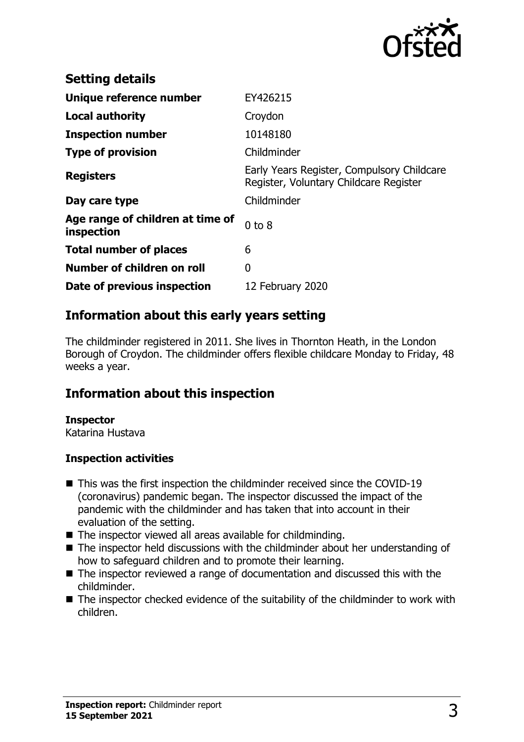

| <b>Setting details</b>                         |                                                                                      |
|------------------------------------------------|--------------------------------------------------------------------------------------|
| Unique reference number                        | EY426215                                                                             |
| <b>Local authority</b>                         | Croydon                                                                              |
| <b>Inspection number</b>                       | 10148180                                                                             |
| <b>Type of provision</b>                       | Childminder                                                                          |
| <b>Registers</b>                               | Early Years Register, Compulsory Childcare<br>Register, Voluntary Childcare Register |
| Day care type                                  | Childminder                                                                          |
| Age range of children at time of<br>inspection | $0$ to $8$                                                                           |
| <b>Total number of places</b>                  | 6                                                                                    |
| Number of children on roll                     | 0                                                                                    |
| Date of previous inspection                    | 12 February 2020                                                                     |

## **Information about this early years setting**

The childminder registered in 2011. She lives in Thornton Heath, in the London Borough of Croydon. The childminder offers flexible childcare Monday to Friday, 48 weeks a year.

## **Information about this inspection**

#### **Inspector**

Katarina Hustava

#### **Inspection activities**

- $\blacksquare$  This was the first inspection the childminder received since the COVID-19 (coronavirus) pandemic began. The inspector discussed the impact of the pandemic with the childminder and has taken that into account in their evaluation of the setting.
- $\blacksquare$  The inspector viewed all areas available for childminding.
- $\blacksquare$  The inspector held discussions with the childminder about her understanding of how to safeguard children and to promote their learning.
- $\blacksquare$  The inspector reviewed a range of documentation and discussed this with the childminder.
- $\blacksquare$  The inspector checked evidence of the suitability of the childminder to work with children.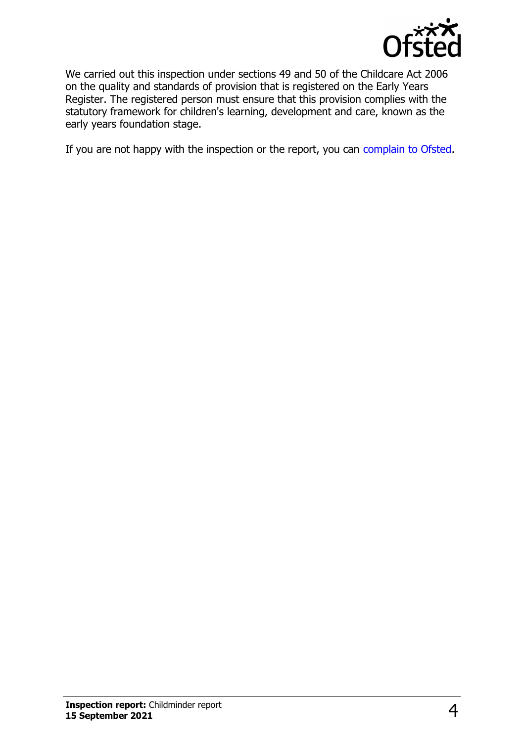

We carried out this inspection under sections 49 and 50 of the Childcare Act 2006 on the quality and standards of provision that is registered on the Early Years Register. The registered person must ensure that this provision complies with the statutory framework for children's learning, development and care, known as the early years foundation stage.

If you are not happy with the inspection or the report, you can [complain to Ofsted](http://www.gov.uk/complain-ofsted-report).